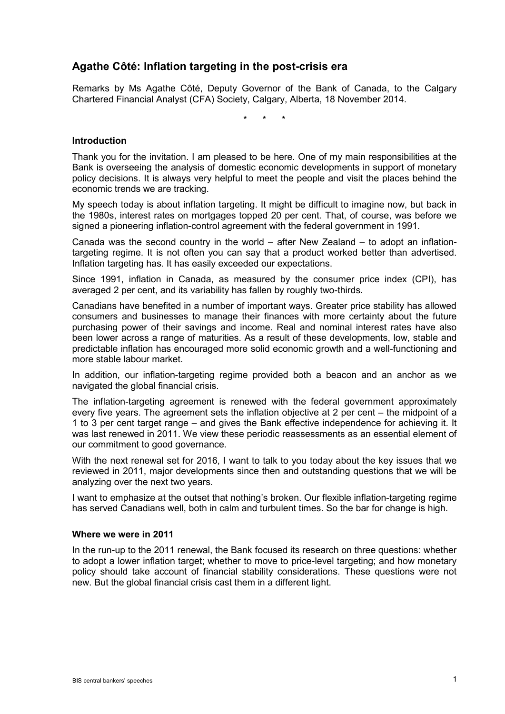# **Agathe Côté: Inflation targeting in the post-crisis era**

Remarks by Ms Agathe Côté, Deputy Governor of the Bank of Canada, to the Calgary Chartered Financial Analyst (CFA) Society, Calgary, Alberta, 18 November 2014.

\* \* \*

#### **Introduction**

Thank you for the invitation. I am pleased to be here. One of my main responsibilities at the Bank is overseeing the analysis of domestic economic developments in support of monetary policy decisions. It is always very helpful to meet the people and visit the places behind the economic trends we are tracking.

My speech today is about inflation targeting. It might be difficult to imagine now, but back in the 1980s, interest rates on mortgages topped 20 per cent. That, of course, was before we signed a pioneering inflation-control agreement with the federal government in 1991.

Canada was the second country in the world  $-$  after New Zealand  $-$  to adopt an inflationtargeting regime. It is not often you can say that a product worked better than advertised. Inflation targeting has. It has easily exceeded our expectations.

Since 1991, inflation in Canada, as measured by the consumer price index (CPI), has averaged 2 per cent, and its variability has fallen by roughly two-thirds.

Canadians have benefited in a number of important ways. Greater price stability has allowed consumers and businesses to manage their finances with more certainty about the future purchasing power of their savings and income. Real and nominal interest rates have also been lower across a range of maturities. As a result of these developments, low, stable and predictable inflation has encouraged more solid economic growth and a well-functioning and more stable labour market.

In addition, our inflation-targeting regime provided both a beacon and an anchor as we navigated the global financial crisis.

The inflation-targeting agreement is renewed with the federal government approximately every five years. The agreement sets the inflation objective at 2 per cent – the midpoint of a 1 to 3 per cent target range – and gives the Bank effective independence for achieving it. It was last renewed in 2011. We view these periodic reassessments as an essential element of our commitment to good governance.

With the next renewal set for 2016, I want to talk to you today about the key issues that we reviewed in 2011, major developments since then and outstanding questions that we will be analyzing over the next two years.

<span id="page-0-0"></span>I want to emphasize at the outset that nothing's broken. Our flexible inflation-targeting regime has served Canadians well, both in calm and turbulent times. So the bar for change is high.

### **Where we were in 2011**

In the run-up to the 2011 renewal, the Bank focused its research on three questions: whether to adopt a lower inflation target; whether to move to price-level targeting; and how monetary policy should take account of financial stability considerations. These questions were not new. But the global financial crisis cast them in a different light.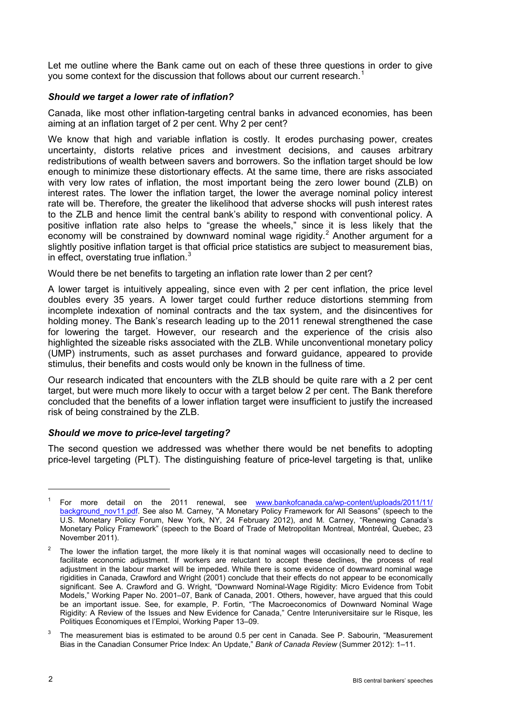Let me outline where the Bank came out on each of these three questions in order to give you some context for the discussion that follows about our current research.<sup>[1](#page-0-0)</sup>

# *Should we target a lower rate of inflation?*

Canada, like most other inflation-targeting central banks in advanced economies, has been aiming at an inflation target of 2 per cent. Why 2 per cent?

We know that high and variable inflation is costly. It erodes purchasing power, creates uncertainty, distorts relative prices and investment decisions, and causes arbitrary redistributions of wealth between savers and borrowers. So the inflation target should be low enough to minimize these distortionary effects. At the same time, there are risks associated with very low rates of inflation, the most important being the zero lower bound (ZLB) on interest rates. The lower the inflation target, the lower the average nominal policy interest rate will be. Therefore, the greater the likelihood that adverse shocks will push interest rates to the ZLB and hence limit the central bank's ability to respond with conventional policy. A positive inflation rate also helps to "grease the wheels," since it is less likely that the economy will be constrained by downward nominal wage rigidity.<sup>[2](#page-1-0)</sup> Another argument for a slightly positive inflation target is that official price statistics are subject to measurement bias, in effect, overstating true inflation.[3](#page-1-1)

Would there be net benefits to targeting an inflation rate lower than 2 per cent?

A lower target is intuitively appealing, since even with 2 per cent inflation, the price level doubles every 35 years. A lower target could further reduce distortions stemming from incomplete indexation of nominal contracts and the tax system, and the disincentives for holding money. The Bank's research leading up to the 2011 renewal strengthened the case for lowering the target. However, our research and the experience of the crisis also highlighted the sizeable risks associated with the ZLB. While unconventional monetary policy (UMP) instruments, such as asset purchases and forward guidance, appeared to provide stimulus, their benefits and costs would only be known in the fullness of time.

Our research indicated that encounters with the ZLB should be quite rare with a 2 per cent target, but were much more likely to occur with a target below 2 per cent. The Bank therefore concluded that the benefits of a lower inflation target were insufficient to justify the increased risk of being constrained by the ZLB.

## *Should we move to price-level targeting?*

The second question we addressed was whether there would be net benefits to adopting price-level targeting (PLT). The distinguishing feature of price-level targeting is that, unlike

<sup>1</sup> For more detail on the 2011 renewal, see [www.bankofcanada.ca/wp-content/uploads/2011/11/](http://www.bankofcanada.ca/wp-content/uploads/2011/11/background_nov11.pdf) [background\\_nov11.pdf.](http://www.bankofcanada.ca/wp-content/uploads/2011/11/background_nov11.pdf) See also M. Carney, "A Monetary Policy Framework for All Seasons" (speech to the U.S. Monetary Policy Forum, New York, NY, 24 February 2012), and M. Carney, "Renewing Canada's Monetary Policy Framework" (speech to the Board of Trade of Metropolitan Montreal, Montréal, Quebec, 23 November 2011).

<span id="page-1-0"></span><sup>2</sup> The lower the inflation target, the more likely it is that nominal wages will occasionally need to decline to facilitate economic adjustment. If workers are reluctant to accept these declines, the process of real adjustment in the labour market will be impeded. While there is some evidence of downward nominal wage rigidities in Canada, Crawford and Wright (2001) conclude that their effects do not appear to be economically significant. See A. Crawford and G. Wright, "Downward Nominal-Wage Rigidity: Micro Evidence from Tobit Models," Working Paper No. 2001–07, Bank of Canada, 2001. Others, however, have argued that this could be an important issue. See, for example, P. Fortin, "The Macroeconomics of Downward Nominal Wage Rigidity: A Review of the Issues and New Evidence for Canada," Centre Interuniversitaire sur le Risque, les Politiques Économiques et l'Emploi, Working Paper 13–09.

<span id="page-1-1"></span><sup>3</sup> The measurement bias is estimated to be around 0.5 per cent in Canada. See P. Sabourin, "Measurement Bias in the Canadian Consumer Price Index: An Update," *Bank of Canada Review* (Summer 2012): 1–11.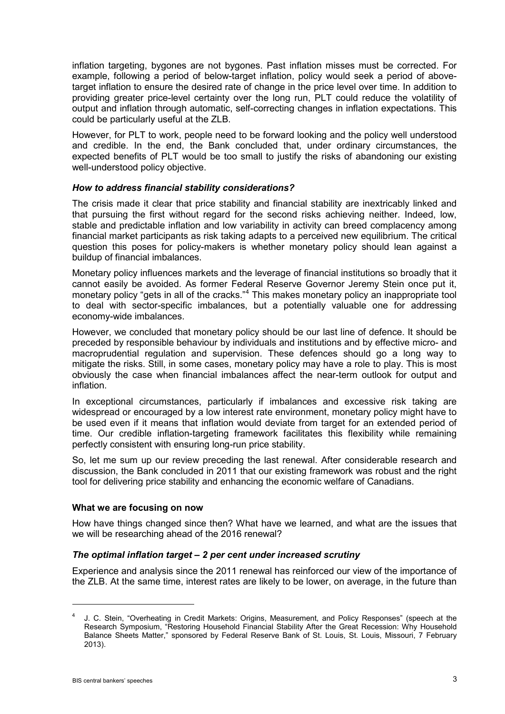inflation targeting, bygones are not bygones. Past inflation misses must be corrected. For example, following a period of below-target inflation, policy would seek a period of abovetarget inflation to ensure the desired rate of change in the price level over time. In addition to providing greater price-level certainty over the long run, PLT could reduce the volatility of output and inflation through automatic, self-correcting changes in inflation expectations. This could be particularly useful at the ZLB.

However, for PLT to work, people need to be forward looking and the policy well understood and credible. In the end, the Bank concluded that, under ordinary circumstances, the expected benefits of PLT would be too small to justify the risks of abandoning our existing well-understood policy objective.

## *How to address financial stability considerations?*

The crisis made it clear that price stability and financial stability are inextricably linked and that pursuing the first without regard for the second risks achieving neither. Indeed, low, stable and predictable inflation and low variability in activity can breed complacency among financial market participants as risk taking adapts to a perceived new equilibrium. The critical question this poses for policy-makers is whether monetary policy should lean against a buildup of financial imbalances.

Monetary policy influences markets and the leverage of financial institutions so broadly that it cannot easily be avoided. As former Federal Reserve Governor Jeremy Stein once put it, monetary policy "gets in all of the cracks."<sup>[4](#page-2-0)</sup> This makes monetary policy an inappropriate tool to deal with sector-specific imbalances, but a potentially valuable one for addressing economy-wide imbalances.

However, we concluded that monetary policy should be our last line of defence. It should be preceded by responsible behaviour by individuals and institutions and by effective micro- and macroprudential regulation and supervision. These defences should go a long way to mitigate the risks. Still, in some cases, monetary policy may have a role to play. This is most obviously the case when financial imbalances affect the near-term outlook for output and inflation.

In exceptional circumstances, particularly if imbalances and excessive risk taking are widespread or encouraged by a low interest rate environment, monetary policy might have to be used even if it means that inflation would deviate from target for an extended period of time. Our credible inflation-targeting framework facilitates this flexibility while remaining perfectly consistent with ensuring long-run price stability.

So, let me sum up our review preceding the last renewal. After considerable research and discussion, the Bank concluded in 2011 that our existing framework was robust and the right tool for delivering price stability and enhancing the economic welfare of Canadians.

#### **What we are focusing on now**

How have things changed since then? What have we learned, and what are the issues that we will be researching ahead of the 2016 renewal?

## *The optimal inflation target – 2 per cent under increased scrutiny*

Experience and analysis since the 2011 renewal has reinforced our view of the importance of the ZLB. At the same time, interest rates are likely to be lower, on average, in the future than

<span id="page-2-0"></span><sup>4</sup> J. C. Stein, "Overheating in Credit Markets: Origins, Measurement, and Policy Responses" (speech at the Research Symposium, "Restoring Household Financial Stability After the Great Recession: Why Household Balance Sheets Matter," sponsored by Federal Reserve Bank of St. Louis, St. Louis, Missouri, 7 February 2013).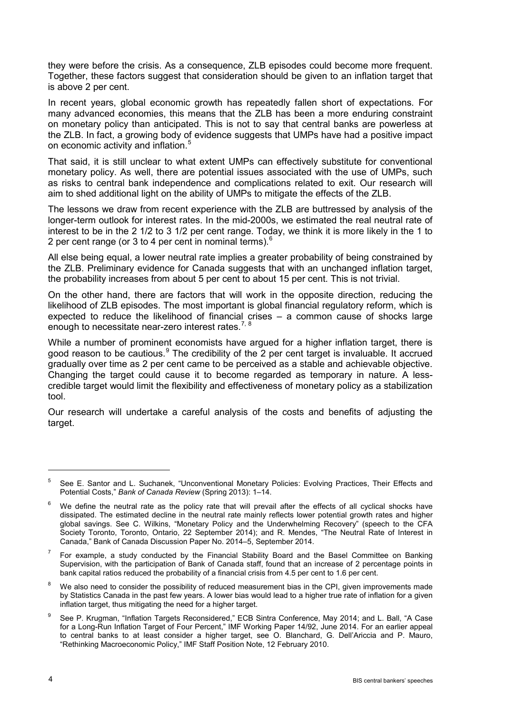they were before the crisis. As a consequence, ZLB episodes could become more frequent. Together, these factors suggest that consideration should be given to an inflation target that is above 2 per cent.

In recent years, global economic growth has repeatedly fallen short of expectations. For many advanced economies, this means that the ZLB has been a more enduring constraint on monetary policy than anticipated. This is not to say that central banks are powerless at the ZLB. In fact, a growing body of evidence suggests that UMPs have had a positive impact on economic activity and inflation.<sup>[5](#page-3-0)</sup>

That said, it is still unclear to what extent UMPs can effectively substitute for conventional monetary policy. As well, there are potential issues associated with the use of UMPs, such as risks to central bank independence and complications related to exit. Our research will aim to shed additional light on the ability of UMPs to mitigate the effects of the ZLB.

The lessons we draw from recent experience with the ZLB are buttressed by analysis of the longer-term outlook for interest rates. In the mid-2000s, we estimated the real neutral rate of interest to be in the 2 1/2 to 3 1/2 per cent range. Today, we think it is more likely in the 1 to 2 per cent range (or 3 to 4 per cent in nominal terms). $<sup>6</sup>$  $<sup>6</sup>$  $<sup>6</sup>$ </sup>

All else being equal, a lower neutral rate implies a greater probability of being constrained by the ZLB. Preliminary evidence for Canada suggests that with an unchanged inflation target, the probability increases from about 5 per cent to about 15 per cent. This is not trivial.

On the other hand, there are factors that will work in the opposite direction, reducing the likelihood of ZLB episodes. The most important is global financial regulatory reform, which is expected to reduce the likelihood of financial crises – a common cause of shocks large enough to necessitate near-zero interest rates.<sup>[7](#page-3-2), [8](#page-3-3)</sup>

While a number of prominent economists have argued for a higher inflation target, there is good reason to be cautious.<sup>[9](#page-3-4)</sup> The credibility of the 2 per cent target is invaluable. It accrued gradually over time as 2 per cent came to be perceived as a stable and achievable objective. Changing the target could cause it to become regarded as temporary in nature. A lesscredible target would limit the flexibility and effectiveness of monetary policy as a stabilization tool.

Our research will undertake a careful analysis of the costs and benefits of adjusting the target.

<span id="page-3-0"></span><sup>5</sup> See E. Santor and L. Suchanek, "Unconventional Monetary Policies: Evolving Practices, Their Effects and Potential Costs," *Bank of Canada Review* (Spring 2013): 1–14.

<span id="page-3-1"></span>We define the neutral rate as the policy rate that will prevail after the effects of all cyclical shocks have dissipated. The estimated decline in the neutral rate mainly reflects lower potential growth rates and higher global savings. See C. Wilkins, "Monetary Policy and the Underwhelming Recovery" (speech to the CFA Society Toronto, Toronto, Ontario, 22 September 2014); and R. Mendes, "The Neutral Rate of Interest in Canada," Bank of Canada Discussion Paper No. 2014–5, September 2014.

<span id="page-3-2"></span><sup>7</sup> For example, a study conducted by the Financial Stability Board and the Basel Committee on Banking Supervision, with the participation of Bank of Canada staff, found that an increase of 2 percentage points in bank capital ratios reduced the probability of a financial crisis from 4.5 per cent to 1.6 per cent.

<span id="page-3-3"></span>We also need to consider the possibility of reduced measurement bias in the CPI, given improvements made by Statistics Canada in the past few years. A lower bias would lead to a higher true rate of inflation for a given inflation target, thus mitigating the need for a higher target.

<span id="page-3-4"></span><sup>9</sup> See P. Krugman, "Inflation Targets Reconsidered," ECB Sintra Conference, May 2014; and L. Ball, "A Case for a Long-Run Inflation Target of Four Percent," IMF Working Paper 14/92, June 2014. For an earlier appeal to central banks to at least consider a higher target, see O. Blanchard, G. Dell'Ariccia and P. Mauro, "Rethinking Macroeconomic Policy," IMF Staff Position Note, 12 February 2010.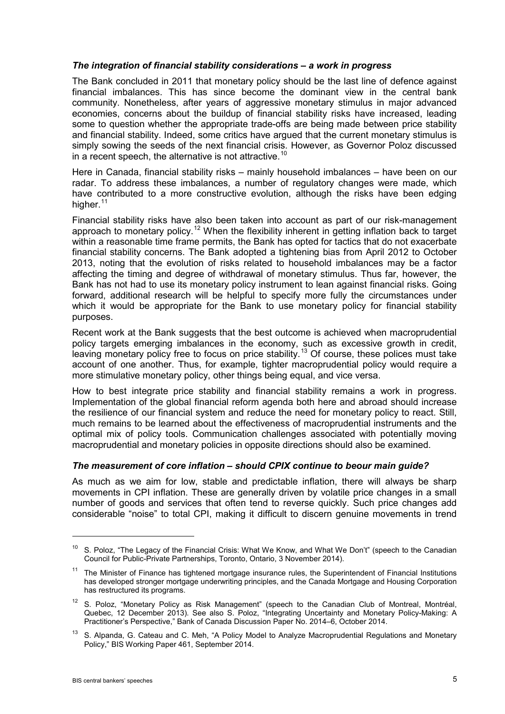### *The integration of financial stability considerations – a work in progress*

The Bank concluded in 2011 that monetary policy should be the last line of defence against financial imbalances. This has since become the dominant view in the central bank community. Nonetheless, after years of aggressive monetary stimulus in major advanced economies, concerns about the buildup of financial stability risks have increased, leading some to question whether the appropriate trade-offs are being made between price stability and financial stability. Indeed, some critics have argued that the current monetary stimulus is simply sowing the seeds of the next financial crisis. However, as Governor Poloz discussed in a recent speech, the alternative is not attractive.<sup>[10](#page-4-0)</sup>

Here in Canada, financial stability risks – mainly household imbalances – have been on our radar. To address these imbalances, a number of regulatory changes were made, which have contributed to a more constructive evolution, although the risks have been edging higher.<sup>[11](#page-4-1)</sup>

Financial stability risks have also been taken into account as part of our risk-management approach to monetary policy.<sup>[12](#page-4-2)</sup> When the flexibility inherent in getting inflation back to target within a reasonable time frame permits, the Bank has opted for tactics that do not exacerbate financial stability concerns. The Bank adopted a tightening bias from April 2012 to October 2013, noting that the evolution of risks related to household imbalances may be a factor affecting the timing and degree of withdrawal of monetary stimulus. Thus far, however, the Bank has not had to use its monetary policy instrument to lean against financial risks. Going forward, additional research will be helpful to specify more fully the circumstances under which it would be appropriate for the Bank to use monetary policy for financial stability purposes.

Recent work at the Bank suggests that the best outcome is achieved when macroprudential policy targets emerging imbalances in the economy, such as excessive growth in credit, leaving monetary policy free to focus on price stability.<sup>[13](#page-4-3)</sup> Of course, these polices must take account of one another. Thus, for example, tighter macroprudential policy would require a more stimulative monetary policy, other things being equal, and vice versa.

How to best integrate price stability and financial stability remains a work in progress. Implementation of the global financial reform agenda both here and abroad should increase the resilience of our financial system and reduce the need for monetary policy to react. Still, much remains to be learned about the effectiveness of macroprudential instruments and the optimal mix of policy tools. Communication challenges associated with potentially moving macroprudential and monetary policies in opposite directions should also be examined.

#### *The measurement of core inflation – should CPIX continue to beour main guide?*

As much as we aim for low, stable and predictable inflation, there will always be sharp movements in CPI inflation. These are generally driven by volatile price changes in a small number of goods and services that often tend to reverse quickly. Such price changes add considerable "noise" to total CPI, making it difficult to discern genuine movements in trend

<span id="page-4-0"></span><sup>&</sup>lt;sup>10</sup> S. Poloz, "The Legacy of the Financial Crisis: What We Know, and What We Don't" (speech to the Canadian Council for Public-Private Partnerships, Toronto, Ontario, 3 November 2014).

<span id="page-4-1"></span> $11$  The Minister of Finance has tightened mortgage insurance rules, the Superintendent of Financial Institutions has developed stronger mortgage underwriting principles, and the Canada Mortgage and Housing Corporation has restructured its programs.

<span id="page-4-2"></span> $12$  S. Poloz, "Monetary Policy as Risk Management" (speech to the Canadian Club of Montreal, Montréal, Quebec, 12 December 2013). See also S. Poloz, "Integrating Uncertainty and Monetary Policy-Making: A Practitioner's Perspective," Bank of Canada Discussion Paper No. 2014–6, October 2014.

<span id="page-4-3"></span><sup>&</sup>lt;sup>13</sup> S. Alpanda, G. Cateau and C. Meh, "A Policy Model to Analyze Macroprudential Regulations and Monetary Policy," BIS Working Paper 461, September 2014.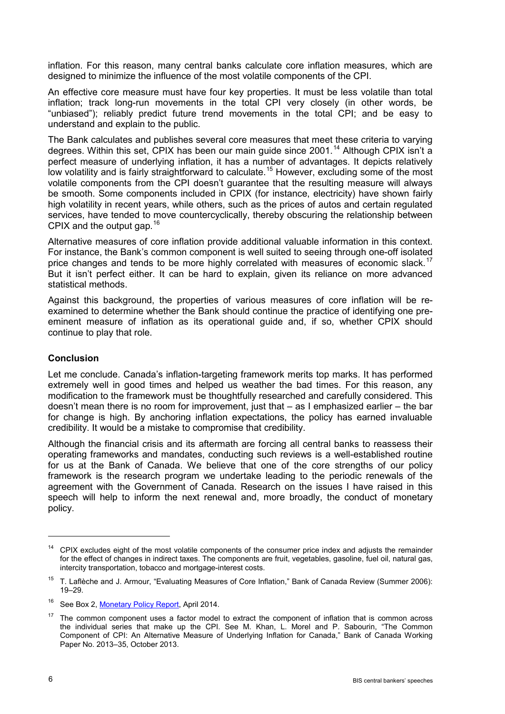inflation. For this reason, many central banks calculate core inflation measures, which are designed to minimize the influence of the most volatile components of the CPI.

An effective core measure must have four key properties. It must be less volatile than total inflation; track long-run movements in the total CPI very closely (in other words, be "unbiased"); reliably predict future trend movements in the total CPI; and be easy to understand and explain to the public.

The Bank calculates and publishes several core measures that meet these criteria to varying degrees. Within this set, CPIX has been our main guide since 2001.<sup>[14](#page-5-0)</sup> Although CPIX isn't a perfect measure of underlying inflation, it has a number of advantages. It depicts relatively low volatility and is fairly straightforward to calculate.<sup>[15](#page-5-1)</sup> However, excluding some of the most volatile components from the CPI doesn't guarantee that the resulting measure will always be smooth. Some components included in CPIX (for instance, electricity) have shown fairly high volatility in recent years, while others, such as the prices of autos and certain regulated services, have tended to move countercyclically, thereby obscuring the relationship between CPIX and the output gap.  $16$ 

Alternative measures of core inflation provide additional valuable information in this context. For instance, the Bank's common component is well suited to seeing through one-off isolated price changes and tends to be more highly correlated with measures of economic slack.<sup>[17](#page-5-3)</sup> But it isn't perfect either. It can be hard to explain, given its reliance on more advanced statistical methods.

Against this background, the properties of various measures of core inflation will be reexamined to determine whether the Bank should continue the practice of identifying one preeminent measure of inflation as its operational guide and, if so, whether CPIX should continue to play that role.

## **Conclusion**

Let me conclude. Canada's inflation-targeting framework merits top marks. It has performed extremely well in good times and helped us weather the bad times. For this reason, any modification to the framework must be thoughtfully researched and carefully considered. This doesn't mean there is no room for improvement, just that – as I emphasized earlier – the bar for change is high. By anchoring inflation expectations, the policy has earned invaluable credibility. It would be a mistake to compromise that credibility.

Although the financial crisis and its aftermath are forcing all central banks to reassess their operating frameworks and mandates, conducting such reviews is a well-established routine for us at the Bank of Canada. We believe that one of the core strengths of our policy framework is the research program we undertake leading to the periodic renewals of the agreement with the Government of Canada. Research on the issues I have raised in this speech will help to inform the next renewal and, more broadly, the conduct of monetary policy.

<span id="page-5-0"></span> $14$  CPIX excludes eight of the most volatile components of the consumer price index and adjusts the remainder for the effect of changes in indirect taxes. The components are fruit, vegetables, gasoline, fuel oil, natural gas, intercity transportation, tobacco and mortgage-interest costs.

<span id="page-5-1"></span><sup>&</sup>lt;sup>15</sup> T. Laflèche and J. Armour, "Evaluating Measures of Core Inflation," Bank of Canada Review (Summer 2006): 19–29.

<span id="page-5-2"></span><sup>&</sup>lt;sup>16</sup> See Box 2, [Monetary Policy Report,](http://www.bankofcanada.ca/2014/04/mpr-2014-04-16/) April 2014.

<span id="page-5-3"></span> $17$  The common component uses a factor model to extract the component of inflation that is common across the individual series that make up the CPI. See M. Khan, L. Morel and P. Sabourin, "The Common Component of CPI: An Alternative Measure of Underlying Inflation for Canada," Bank of Canada Working Paper No. 2013–35, October 2013.